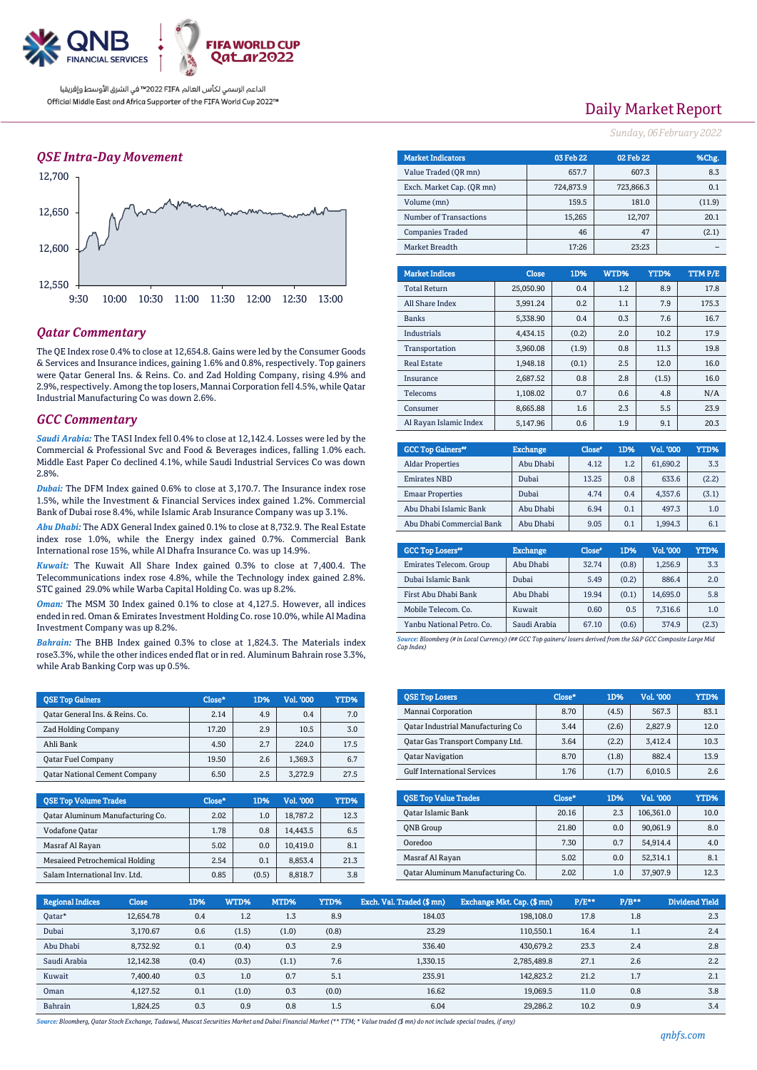

### *QSE Intra-Day Movement*



### *Qatar Commentary*

The QE Index rose 0.4% to close at 12,654.8. Gains were led by the Consumer Goods & Services and Insurance indices, gaining 1.6% and 0.8%, respectively. Top gainers were Qatar General Ins. & Reins. Co. and Zad Holding Company, rising 4.9% and 2.9%, respectively. Among the top losers, Mannai Corporation fell 4.5%, while Qatar Industrial Manufacturing Co was down 2.6%.

#### *GCC Commentary*

*Saudi Arabia:* The TASI Index fell 0.4% to close at 12,142.4. Losses were led by the Commercial & Professional Svc and Food & Beverages indices, falling 1.0% each. Middle East Paper Co declined 4.1%, while Saudi Industrial Services Co was down 2.8%.

*Dubai:* The DFM Index gained 0.6% to close at 3,170.7. The Insurance index rose 1.5%, while the Investment & Financial Services index gained 1.2%. Commercial Bank of Dubai rose 8.4%, while Islamic Arab Insurance Company was up 3.1%.

*Abu Dhabi:* The ADX General Index gained 0.1% to close at 8,732.9. The Real Estate index rose 1.0%, while the Energy index gained 0.7%. Commercial Bank International rose 15%, while Al Dhafra Insurance Co. was up 14.9%.

*Kuwait:* The Kuwait All Share Index gained 0.3% to close at 7,400.4. The Telecommunications index rose 4.8%, while the Technology index gained 2.8%. STC gained 29.0% while Warba Capital Holding Co. was up 8.2%.

*Oman:* The MSM 30 Index gained 0.1% to close at 4,127.5. However, all indices ended in red. Oman & Emirates Investment Holding Co. rose 10.0%, while Al Madina Investment Company was up 8.2%.

*Bahrain:* The BHB Index gained 0.3% to close at 1,824.3. The Materials index rose3.3%, while the other indices ended flat or in red. Aluminum Bahrain rose 3.3%, while Arab Banking Corp was up 0.5%.

| <b>OSE Top Gainers</b>               | Close* | 1D% | Vol. '000 | YTD% |
|--------------------------------------|--------|-----|-----------|------|
| Oatar General Ins. & Reins. Co.      | 2.14   | 4.9 | 0.4       | 7.0  |
| <b>Zad Holding Company</b>           | 17.20  | 2.9 | 10.5      | 3.0  |
| Ahli Bank                            | 4.50   | 2.7 | 224.0     | 17.5 |
| <b>Oatar Fuel Company</b>            | 19.50  | 2.6 | 1.369.3   | 6.7  |
| <b>Qatar National Cement Company</b> | 6.50   | 2.5 | 3.272.9   | 27.5 |

| <b>QSE Top Volume Trades</b>            | Close* | 1D%   | Vol. '000' | <b>YTD%</b> |
|-----------------------------------------|--------|-------|------------|-------------|
| <b>Qatar Aluminum Manufacturing Co.</b> | 2.02   | 1.0   | 18.787.2   | 12.3        |
| Vodafone Qatar                          | 1.78   | 0.8   | 14.443.5   | 6.5         |
| Masraf Al Rayan                         | 5.02   | 0.0   | 10.419.0   | 8.1         |
| Mesaieed Petrochemical Holding          | 2.54   | 0.1   | 8.853.4    | 21.3        |
| Salam International Inv. Ltd.           | 0.85   | (0.5) | 8,818.7    | 3.8         |

# Daily Market Report

*Sunday, 06February2022*

| <b>Market Indicators</b>  | 03 Feb 22 | 02 Feb 22 | %Chg.  |
|---------------------------|-----------|-----------|--------|
| Value Traded (OR mn)      | 657.7     | 607.3     | 8.3    |
| Exch. Market Cap. (OR mn) | 724,873.9 | 723,866.3 | 0.1    |
| Volume (mn)               | 159.5     | 181.0     | (11.9) |
| Number of Transactions    | 15,265    | 12,707    | 20.1   |
| <b>Companies Traded</b>   | 46        | 47        | (2.1)  |
| Market Breadth            | 17:26     | 23:23     |        |
|                           |           |           |        |

| <b>Market Indices</b>  | <b>Close</b> | 1D%   | WTD% | YTD%  | <b>TTMP/E</b> |
|------------------------|--------------|-------|------|-------|---------------|
| <b>Total Return</b>    | 25.050.90    | 0.4   | 1.2  | 8.9   | 17.8          |
| All Share Index        | 3.991.24     | 0.2   | 1.1  | 7.9   | 175.3         |
| <b>Banks</b>           | 5.338.90     | 0.4   | 0.3  | 7.6   | 16.7          |
| Industrials            | 4.434.15     | (0.2) | 2.0  | 10.2  | 17.9          |
| Transportation         | 3,960.08     | (1.9) | 0.8  | 11.3  | 19.8          |
| <b>Real Estate</b>     | 1.948.18     | (0.1) | 2.5  | 12.0  | 16.0          |
| Insurance              | 2.687.52     | 0.8   | 2.8  | (1.5) | 16.0          |
| Telecoms               | 1,108.02     | 0.7   | 0.6  | 4.8   | N/A           |
| Consumer               | 8.665.88     | 1.6   | 2.3  | 5.5   | 23.9          |
| Al Rayan Islamic Index | 5.147.96     | 0.6   | 1.9  | 9.1   | 20.3          |

| <b>GCC Top Gainers</b> "  | <b>Exchange</b> | Close* | 1D% | Vol. '000 | YTD%  |
|---------------------------|-----------------|--------|-----|-----------|-------|
| <b>Aldar Properties</b>   | Abu Dhabi       | 4.12   | 1.2 | 61.690.2  | 3.3   |
| <b>Emirates NBD</b>       | Dubai           | 13.25  | 0.8 | 633.6     | (2.2) |
| <b>Emaar Properties</b>   | Dubai           | 4.74   | 0.4 | 4.357.6   | (3.1) |
| Abu Dhabi Islamic Bank    | Abu Dhabi       | 6.94   | 0.1 | 497.3     | 1.0   |
| Abu Dhabi Commercial Bank | Abu Dhabi       | 9.05   | 0.1 | 1.994.3   | 6.1   |

| <b>GCC Top Losers</b> "   | <b>Exchange</b> | Close <sup>®</sup> | 1D%   | Vol. '000 | YTD%  |
|---------------------------|-----------------|--------------------|-------|-----------|-------|
| Emirates Telecom. Group   | Abu Dhabi       | 32.74              | (0.8) | 1,256.9   | 3.3   |
| Dubai Islamic Bank        | Dubai           | 5.49               | (0.2) | 886.4     | 2.0   |
| First Abu Dhabi Bank      | Abu Dhabi       | 19.94              | (0.1) | 14,695.0  | 5.8   |
| Mobile Telecom. Co.       | Kuwait          | 0.60               | 0.5   | 7,316.6   | 1.0   |
| Yanbu National Petro, Co. | Saudi Arabia    | 67.10              | (0.6) | 374.9     | (2.3) |

*Source: Bloomberg (# in Local Currency) (## GCC Top gainers/ losers derived from the S&P GCC Composite Large Mid Cap Index)*

| <b>QSE Top Losers</b>              | Close* | 1D%   | <b>Vol. '000</b> | YTD% |
|------------------------------------|--------|-------|------------------|------|
| Mannai Corporation                 | 8.70   | (4.5) | 567.3            | 83.1 |
| Oatar Industrial Manufacturing Co  | 3.44   | (2.6) | 2.827.9          | 12.0 |
| Oatar Gas Transport Company Ltd.   | 3.64   | (2.2) | 3.412.4          | 10.3 |
| <b>Oatar Navigation</b>            | 8.70   | (1.8) | 882.4            | 13.9 |
| <b>Gulf International Services</b> | 1.76   | (1.7) | 6,010.5          | 2.6  |

| <b>OSE Top Value Trades</b>      | Close* | 1D% | Val. '000 | YTD% |
|----------------------------------|--------|-----|-----------|------|
| Qatar Islamic Bank               | 20.16  | 2.3 | 106.361.0 | 10.0 |
| <b>ONB</b> Group                 | 21.80  | 0.0 | 90.061.9  | 8.0  |
| Ooredoo                          | 7.30   | 0.7 | 54.914.4  | 4.0  |
| Masraf Al Rayan                  | 5.02   | 0.0 | 52.314.1  | 8.1  |
| Oatar Aluminum Manufacturing Co. | 2.02   | 1.0 | 37,907.9  | 12.3 |

| <b>Regional Indices</b> | <b>Close</b> | 1D%   | WTD%  | MTD%  | YTD%  | Exch. Val. Traded (\$mn) | Exchange Mkt. Cap. (\$mn) | $P/E***$ | $P/B**$ | Dividend Yield |
|-------------------------|--------------|-------|-------|-------|-------|--------------------------|---------------------------|----------|---------|----------------|
| Oatar*                  | 12.654.78    | 0.4   | 1.2   | 1.3   | 8.9   | 184.03                   | 198,108.0                 | 17.8     | 1.8     | 2.3            |
| Dubai                   | 3.170.67     | 0.6   | (1.5) | (1.0) | (0.8) | 23.29                    | 110.550.1                 | 16.4     | 1.1     | 2.4            |
| Abu Dhabi               | 8,732.92     | 0.1   | (0.4) | 0.3   | 2.9   | 336.40                   | 430,679.2                 | 23.3     | 2.4     | 2.8            |
| Saudi Arabia            | 12.142.38    | (0.4) | (0.3) | (1.1) | 7.6   | 1.330.15                 | 2,785,489.8               | 27.1     | 2.6     | 2.2            |
| Kuwait                  | 7.400.40     | 0.3   | 1.0   | 0.7   | 5.1   | 235.91                   | 142.823.2                 | 21.2     | 1.7     | 2.1            |
| Oman                    | 4,127.52     | 0.1   | (1.0) | 0.3   | (0.0) | 16.62                    | 19.069.5                  | 11.0     | 0.8     | 3.8            |
| Bahrain                 | 1.824.25     | 0.3   | 0.9   | 0.8   | 1.5   | 6.04                     | 29,286.2                  | 10.2     | 0.9     | 3.4            |

*Source: Bloomberg, Qatar Stock Exchange, Tadawul, Muscat Securities Market and Dubai Financial Market (\*\* TTM; \* Value traded (\$ mn) do not include special trades, if any)*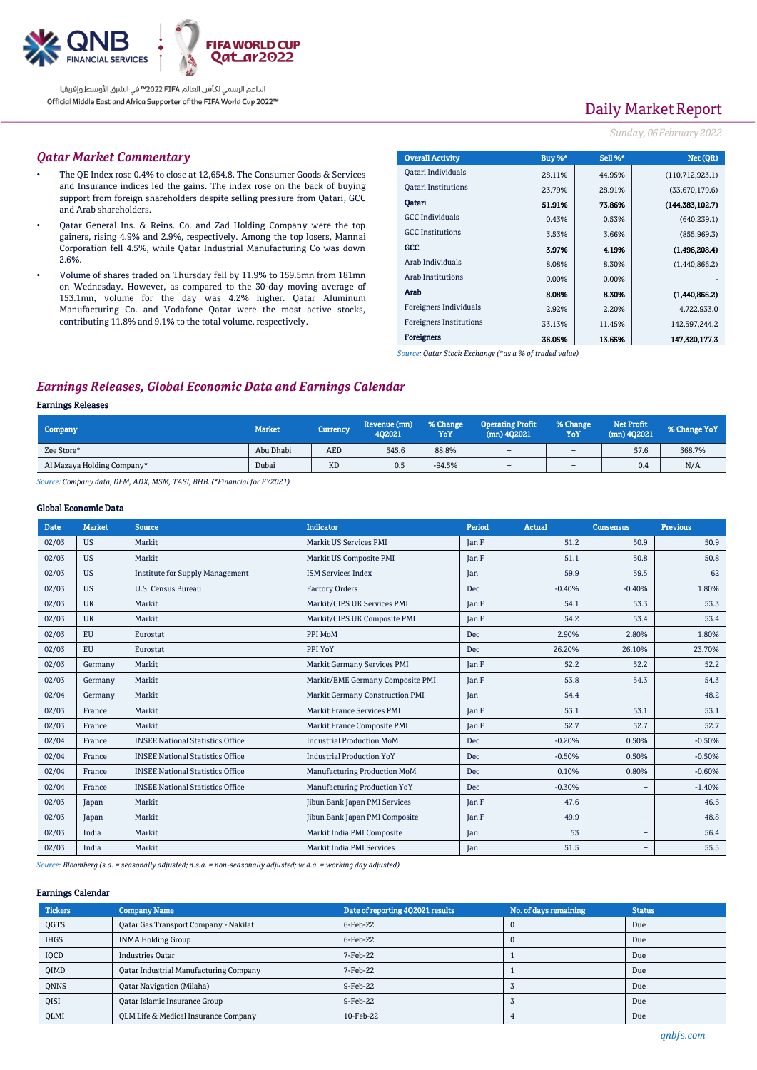

# Daily Market Report

### *Sunday, 06February2022*

#### *Qatar Market Commentary*

- The QE Index rose 0.4% to close at 12,654.8. The Consumer Goods & Services and Insurance indices led the gains. The index rose on the back of buying support from foreign shareholders despite selling pressure from Qatari, GCC and Arab shareholders.
- Qatar General Ins. & Reins. Co. and Zad Holding Company were the top gainers, rising 4.9% and 2.9%, respectively. Among the top losers, Mannai Corporation fell 4.5%, while Qatar Industrial Manufacturing Co was down 2.6%.
- Volume of shares traded on Thursday fell by 11.9% to 159.5mn from 181mn on Wednesday. However, as compared to the 30-day moving average of 153.1mn, volume for the day was 4.2% higher. Qatar Aluminum Manufacturing Co. and Vodafone Qatar were the most active stocks, contributing 11.8% and 9.1% to the total volume, respectively.

| <b>Overall Activity</b>        | Buy %*   | Sell %* | Net (QR)          |
|--------------------------------|----------|---------|-------------------|
| Qatari Individuals             | 28.11%   | 44.95%  | (110, 712, 923.1) |
| <b>Oatari Institutions</b>     | 23.79%   | 28.91%  | (33,670,179.6)    |
| Oatari                         | 51.91%   | 73.86%  | (144, 383, 102.7) |
| <b>GCC</b> Individuals         | 0.43%    | 0.53%   | (640.239.1)       |
| <b>GCC</b> Institutions        | 3.53%    | 3.66%   | (855, 969.3)      |
| GCC                            | 3.97%    | 4.19%   | (1,496,208.4)     |
| Arab Individuals               | 8.08%    | 8.30%   | (1,440,866.2)     |
| Arab Institutions              | $0.00\%$ | 0.00%   |                   |
| Arab                           | 8.08%    | 8.30%   | (1,440,866.2)     |
| Foreigners Individuals         | 2.92%    | 2.20%   | 4.722.933.0       |
| <b>Foreigners Institutions</b> | 33.13%   | 11.45%  | 142,597,244.2     |
| <b>Foreigners</b>              | 36.05%   | 13.65%  | 147,320,177.3     |

*Source: Qatar Stock Exchange (\*as a % of traded value)*

## *Earnings Releases, Global Economic Data and Earnings Calendar*

### Earnings Releases

| <b>Company</b>             | <b>Market</b> | Currency   | Revenue (mn)<br>402021 | % Change<br>YoY | <b>Operating Profit</b><br>$(mn)$ 402021 | 0% Change<br>YoY         | <b>Net Profit</b><br>$(mn)$ 402021 | % Change YoY |
|----------------------------|---------------|------------|------------------------|-----------------|------------------------------------------|--------------------------|------------------------------------|--------------|
| Zee Store*                 | Abu Dhabi     | <b>AED</b> | 545.6                  | 88.8%           | $\overline{\phantom{a}}$                 | $\sim$                   | 57.6                               | 368.7%       |
| Al Mazaya Holding Company* | Dubai         | <b>KD</b>  | 0.5                    | $-94.5%$        | $\overline{\phantom{a}}$                 | $\overline{\phantom{a}}$ | 0.4                                | N/A          |

*Source: Company data, DFM, ADX, MSM, TASI, BHB. (\*Financial for FY2021)*

### Global Economic Data

| <b>Date</b> | <b>Market</b> | <b>Source</b>                           | <b>Indicator</b>                     | Period       | Actual   | <b>Consensus</b>         | <b>Previous</b> |
|-------------|---------------|-----------------------------------------|--------------------------------------|--------------|----------|--------------------------|-----------------|
| 02/03       | <b>US</b>     | Markit                                  | Markit US Services PMI               | Jan F        | 51.2     | 50.9                     | 50.9            |
| 02/03       | <b>US</b>     | Markit                                  | Markit US Composite PMI              | Jan F        | 51.1     | 50.8                     | 50.8            |
| 02/03       | <b>US</b>     | <b>Institute for Supply Management</b>  | <b>ISM Services Index</b>            | Jan          | 59.9     | 59.5                     | 62              |
| 02/03       | <b>US</b>     | <b>U.S. Census Bureau</b>               | <b>Factory Orders</b>                | Dec          | $-0.40%$ | $-0.40%$                 | 1.80%           |
| 02/03       | <b>UK</b>     | Markit                                  | Markit/CIPS UK Services PMI          | Jan F        | 54.1     | 53.3                     | 53.3            |
| 02/03       | <b>UK</b>     | Markit                                  | Markit/CIPS UK Composite PMI         | Jan F        | 54.2     | 53.4                     | 53.4            |
| 02/03       | <b>EU</b>     | Eurostat                                | PPI MoM                              | Dec          | 2.90%    | 2.80%                    | 1.80%           |
| 02/03       | EU            | Eurostat                                | PPI YoY                              | Dec          | 26.20%   | 26.10%                   | 23.70%          |
| 02/03       | Germany       | Markit                                  | Markit Germany Services PMI          | Jan F        | 52.2     | 52.2                     | 52.2            |
| 02/03       | Germany       | Markit                                  | Markit/BME Germany Composite PMI     | Jan F        | 53.8     | 54.3                     | 54.3            |
| 02/04       | Germany       | Markit                                  | Markit Germany Construction PMI      | Jan          | 54.4     | $\qquad \qquad -$        | 48.2            |
| 02/03       | France        | Markit                                  | Markit France Services PMI           | <b>Tan F</b> | 53.1     | 53.1                     | 53.1            |
| 02/03       | France        | Markit                                  | Markit France Composite PMI          | Jan F        | 52.7     | 52.7                     | 52.7            |
| 02/04       | France        | <b>INSEE National Statistics Office</b> | <b>Industrial Production MoM</b>     | Dec          | $-0.20%$ | 0.50%                    | $-0.50%$        |
| 02/04       | France        | <b>INSEE National Statistics Office</b> | <b>Industrial Production YoY</b>     | Dec          | $-0.50%$ | 0.50%                    | $-0.50%$        |
| 02/04       | France        | <b>INSEE National Statistics Office</b> | Manufacturing Production MoM         | Dec          | 0.10%    | 0.80%                    | $-0.60%$        |
| 02/04       | France        | <b>INSEE National Statistics Office</b> | Manufacturing Production YoY         | Dec.         | $-0.30%$ | $\qquad \qquad -$        | $-1.40%$        |
| 02/03       | Japan         | Markit                                  | <b>Jibun Bank Japan PMI Services</b> | Jan F        | 47.6     | -                        | 46.6            |
| 02/03       | Japan         | Markit                                  | Jibun Bank Japan PMI Composite       | Jan F        | 49.9     | $\overline{\phantom{a}}$ | 48.8            |
| 02/03       | India         | Markit                                  | Markit India PMI Composite           | Jan          | 53       | $\qquad \qquad -$        | 56.4            |
| 02/03       | India         | Markit                                  | Markit India PMI Services            | Jan          | 51.5     | $\qquad \qquad -$        | 55.5            |

*Source: Bloomberg (s.a. = seasonally adjusted; n.s.a. = non-seasonally adjusted; w.d.a. = working day adjusted)*

### Earnings Calendar

| <b>Tickers</b> | <b>Company Name</b>                           | Date of reporting 402021 results | No. of days remaining | <b>Status</b> |
|----------------|-----------------------------------------------|----------------------------------|-----------------------|---------------|
| <b>OGTS</b>    | <b>Qatar Gas Transport Company - Nakilat</b>  | 6-Feb-22                         |                       | Due           |
| <b>IHGS</b>    | <b>INMA Holding Group</b>                     | 6-Feb-22                         |                       | Due           |
| IQCD           | <b>Industries Oatar</b>                       | 7-Feb-22                         |                       | Due           |
| <b>OIMD</b>    | <b>Qatar Industrial Manufacturing Company</b> | 7-Feb-22                         |                       | Due           |
| <b>ONNS</b>    | <b>Oatar Navigation (Milaha)</b>              | 9-Feb-22                         |                       | Due           |
| QISI           | <b>Qatar Islamic Insurance Group</b>          | 9-Feb-22                         |                       | Due           |
| <b>OLMI</b>    | OLM Life & Medical Insurance Company          | 10-Feb-22                        |                       | Due           |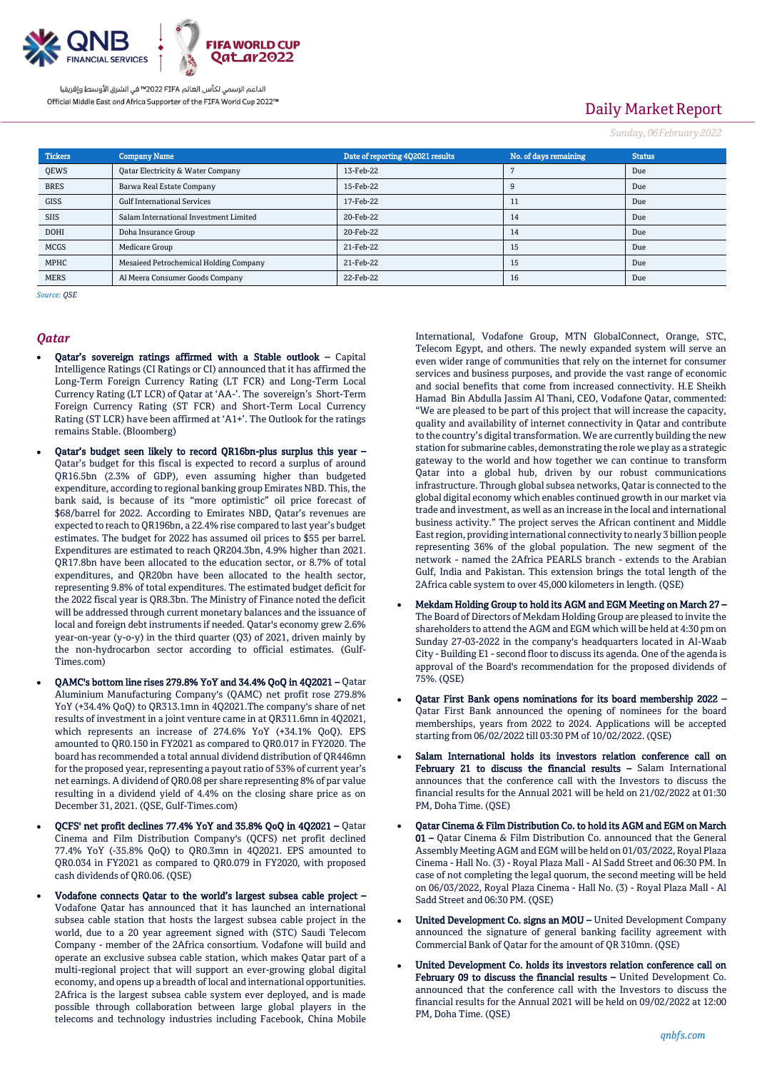

# Daily Market Report

*Sunday, 06February2022*

| <b>Tickers</b> | <b>Company Name</b>                    | Date of reporting 4Q2021 results | No. of days remaining | <b>Status</b> |
|----------------|----------------------------------------|----------------------------------|-----------------------|---------------|
| <b>OEWS</b>    | Qatar Electricity & Water Company      | 13-Feb-22                        |                       | Due           |
| <b>BRES</b>    | Barwa Real Estate Company              | 15-Feb-22                        |                       | Due           |
| <b>GISS</b>    | <b>Gulf International Services</b>     | 17-Feb-22                        | 11                    | Due           |
| <b>SIIS</b>    | Salam International Investment Limited | 20-Feb-22                        | 14                    | Due           |
| <b>DOHI</b>    | Doha Insurance Group                   | 20-Feb-22                        | 14                    | Due           |
| <b>MCGS</b>    | Medicare Group                         | 21-Feb-22                        | 15                    | Due           |
| <b>MPHC</b>    | Mesaieed Petrochemical Holding Company | 21-Feb-22                        | 15                    | Due           |
| <b>MERS</b>    | Al Meera Consumer Goods Company        | 22-Feb-22                        | 16                    | Due           |

*Source: QSE*

#### *Qatar*

- Qatar's sovereign ratings affirmed with a Stable outlook Capital Intelligence Ratings (CI Ratings or CI) announced that it has affirmed the Long-Term Foreign Currency Rating (LT FCR) and Long-Term Local Currency Rating (LT LCR) of Qatar at 'AA-'. The sovereign's Short-Term Foreign Currency Rating (ST FCR) and Short-Term Local Currency Rating (ST LCR) have been affirmed at 'A1+'. The Outlook for the ratings remains Stable. (Bloomberg)
- Qatar's budget seen likely to record QR16bn-plus surplus this year Qatar's budget for this fiscal is expected to record a surplus of around QR16.5bn (2.3% of GDP), even assuming higher than budgeted expenditure, according to regional banking group Emirates NBD. This, the bank said, is because of its "more optimistic" oil price forecast of \$68/barrel for 2022. According to Emirates NBD, Qatar's revenues are expected to reach to QR196bn, a 22.4% rise compared to last year's budget estimates. The budget for 2022 has assumed oil prices to \$55 per barrel. Expenditures are estimated to reach QR204.3bn, 4.9% higher than 2021. QR17.8bn have been allocated to the education sector, or 8.7% of total expenditures, and QR20bn have been allocated to the health sector, representing 9.8% of total expenditures. The estimated budget deficit for the 2022 fiscal year is QR8.3bn. The Ministry of Finance noted the deficit will be addressed through current monetary balances and the issuance of local and foreign debt instruments if needed. Qatar's economy grew 2.6% year-on-year (y-o-y) in the third quarter (Q3) of 2021, driven mainly by the non-hydrocarbon sector according to official estimates. (Gulf-Times.com)
- QAMC's bottom line rises 279.8% YoY and 34.4% QoQ in 4Q2021 Qatar Aluminium Manufacturing Company's (QAMC) net profit rose 279.8% YoY (+34.4% QoQ) to QR313.1mn in 4Q2021.The company's share of net results of investment in a joint venture came in at QR311.6mn in 4Q2021, which represents an increase of 274.6% YoY (+34.1% QoQ). EPS amounted to QR0.150 in FY2021 as compared to QR0.017 in FY2020. The board has recommended a total annual dividend distribution of QR446mn for the proposed year, representing a payout ratio of 53% of current year's net earnings. A dividend of QR0.08 per share representing 8% of par value resulting in a dividend yield of 4.4% on the closing share price as on December 31, 2021. (QSE, Gulf-Times.com)
- QCFS' net profit declines 77.4% YoY and 35.8% QoQ in 4Q2021 Qatar Cinema and Film Distribution Company's (QCFS) net profit declined 77.4% YoY (-35.8% QoQ) to QR0.3mn in 4Q2021. EPS amounted to QR0.034 in FY2021 as compared to QR0.079 in FY2020, with proposed cash dividends of QR0.06. (QSE)
- Vodafone connects Qatar to the world's largest subsea cable project Vodafone Qatar has announced that it has launched an international subsea cable station that hosts the largest subsea cable project in the world, due to a 20 year agreement signed with (STC) Saudi Telecom Company - member of the 2Africa consortium. Vodafone will build and operate an exclusive subsea cable station, which makes Qatar part of a multi-regional project that will support an ever-growing global digital economy, and opens up a breadth of local and international opportunities. 2Africa is the largest subsea cable system ever deployed, and is made possible through collaboration between large global players in the telecoms and technology industries including Facebook, China Mobile

International, Vodafone Group, MTN GlobalConnect, Orange, STC, Telecom Egypt, and others. The newly expanded system will serve an even wider range of communities that rely on the internet for consumer services and business purposes, and provide the vast range of economic and social benefits that come from increased connectivity. H.E Sheikh Hamad Bin Abdulla Jassim Al Thani, CEO, Vodafone Qatar, commented: "We are pleased to be part of this project that will increase the capacity, quality and availability of internet connectivity in Qatar and contribute to the country's digital transformation. We are currently building the new station for submarine cables, demonstrating the role we play as a strategic gateway to the world and how together we can continue to transform Qatar into a global hub, driven by our robust communications infrastructure. Through global subsea networks, Qatar is connected to the global digital economy which enables continued growth in our market via trade and investment, as well as an increase in the local and international business activity." The project serves the African continent and Middle East region, providing international connectivity to nearly 3 billion people representing 36% of the global population. The new segment of the network - named the 2Africa PEARLS branch - extends to the Arabian Gulf, India and Pakistan. This extension brings the total length of the 2Africa cable system to over 45,000 kilometers in length. (QSE)

- Mekdam Holding Group to hold its AGM and EGM Meeting on March 27 The Board of Directors of Mekdam Holding Group are pleased to invite the shareholders to attend the AGM and EGM which will be held at 4:30 pm on Sunday 27-03-2022 in the company's headquarters located in Al-Waab City - Building E1 - second floor to discuss its agenda. One of the agenda is approval of the Board's recommendation for the proposed dividends of 75%. (QSE)
- Qatar First Bank opens nominations for its board membership 2022 Qatar First Bank announced the opening of nominees for the board memberships, years from 2022 to 2024. Applications will be accepted starting from 06/02/2022 till 03:30 PM of 10/02/2022. (QSE)
- Salam International holds its investors relation conference call on February 21 to discuss the financial results – Salam International announces that the conference call with the Investors to discuss the financial results for the Annual 2021 will be held on 21/02/2022 at 01:30 PM, Doha Time. (QSE)
- Qatar Cinema & Film Distribution Co. to hold its AGM and EGM on March 01 – Qatar Cinema & Film Distribution Co. announced that the General Assembly Meeting AGM and EGM will be held on 01/03/2022, Royal Plaza Cinema - Hall No. (3) - Royal Plaza Mall - Al Sadd Street and 06:30 PM. In case of not completing the legal quorum, the second meeting will be held on 06/03/2022, Royal Plaza Cinema - Hall No. (3) - Royal Plaza Mall - Al Sadd Street and 06:30 PM. (OSE)
- United Development Co. signs an MOU United Development Company announced the signature of general banking facility agreement with Commercial Bank of Qatar for the amount of QR 310mn. (QSE)
- United Development Co. holds its investors relation conference call on February 09 to discuss the financial results - United Development Co. announced that the conference call with the Investors to discuss the financial results for the Annual 2021 will be held on 09/02/2022 at 12:00 PM, Doha Time. (QSE)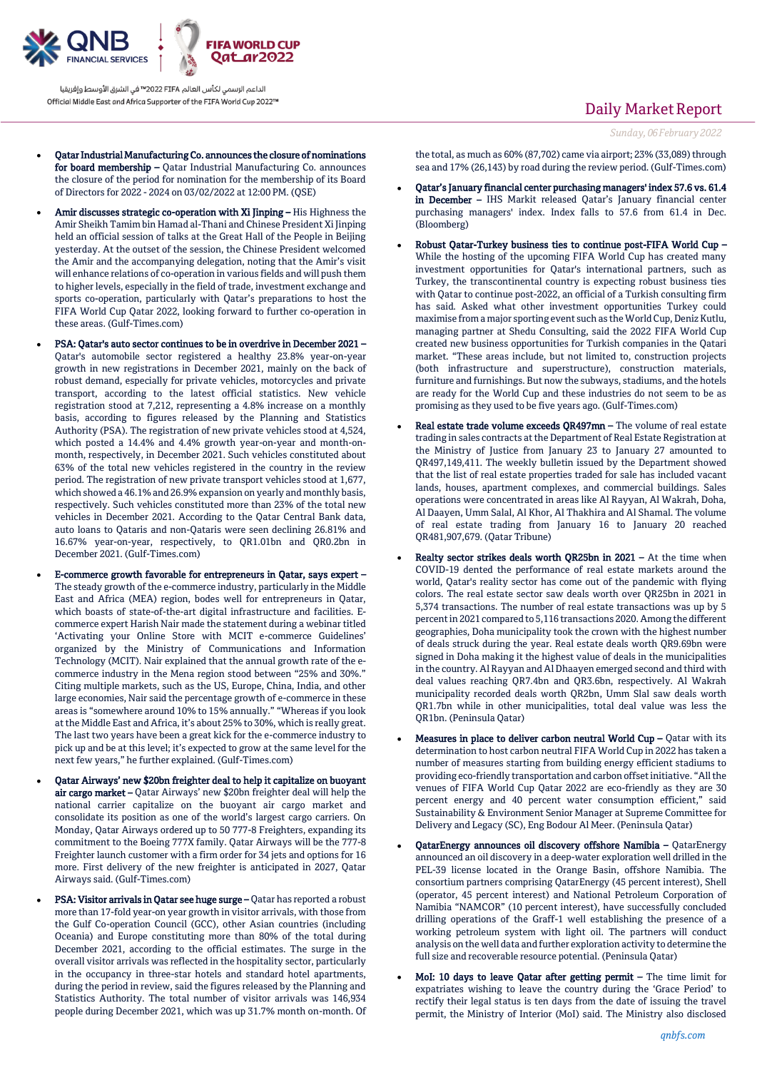

- Qatar Industrial Manufacturing Co. announces the closure of nominations for board membership – Qatar Industrial Manufacturing Co. announces the closure of the period for nomination for the membership of its Board of Directors for 2022 - 2024 on 03/02/2022 at 12:00 PM. (QSE)
- Amir discusses strategic co-operation with Xi Jinping His Highness the Amir Sheikh Tamim bin Hamad al-Thani and Chinese President Xi Jinping held an official session of talks at the Great Hall of the People in Beijing yesterday. At the outset of the session, the Chinese President welcomed the Amir and the accompanying delegation, noting that the Amir's visit will enhance relations of co-operation in various fields and will push them to higher levels, especially in the field of trade, investment exchange and sports co-operation, particularly with Qatar's preparations to host the FIFA World Cup Qatar 2022, looking forward to further co-operation in these areas. (Gulf-Times.com)
- PSA: Qatar's auto sector continues to be in overdrive in December 2021 Qatar's automobile sector registered a healthy 23.8% year-on-year growth in new registrations in December 2021, mainly on the back of robust demand, especially for private vehicles, motorcycles and private transport, according to the latest official statistics. New vehicle registration stood at 7,212, representing a 4.8% increase on a monthly basis, according to figures released by the Planning and Statistics Authority (PSA). The registration of new private vehicles stood at 4,524, which posted a 14.4% and 4.4% growth year-on-year and month-onmonth, respectively, in December 2021. Such vehicles constituted about 63% of the total new vehicles registered in the country in the review period. The registration of new private transport vehicles stood at 1,677, which showed a 46.1% and 26.9% expansion on yearly and monthly basis, respectively. Such vehicles constituted more than 23% of the total new vehicles in December 2021. According to the Qatar Central Bank data, auto loans to Qataris and non-Qataris were seen declining 26.81% and 16.67% year-on-year, respectively, to QR1.01bn and QR0.2bn in December 2021. (Gulf-Times.com)
- E-commerce growth favorable for entrepreneurs in Qatar, says expert The steady growth of the e-commerce industry, particularly in the Middle East and Africa (MEA) region, bodes well for entrepreneurs in Qatar, which boasts of state-of-the-art digital infrastructure and facilities. Ecommerce expert Harish Nair made the statement during a webinar titled 'Activating your Online Store with MCIT e-commerce Guidelines' organized by the Ministry of Communications and Information Technology (MCIT). Nair explained that the annual growth rate of the ecommerce industry in the Mena region stood between "25% and 30%." Citing multiple markets, such as the US, Europe, China, India, and other large economies, Nair said the percentage growth of e-commerce in these areas is "somewhere around 10% to 15% annually." "Whereas if you look at the Middle East and Africa, it's about 25% to 30%, which is really great. The last two years have been a great kick for the e-commerce industry to pick up and be at this level; it's expected to grow at the same level for the next few years," he further explained. (Gulf-Times.com)
- Qatar Airways' new \$20bn freighter deal to help it capitalize on buoyant air cargo market – Qatar Airways' new \$20bn freighter deal will help the national carrier capitalize on the buoyant air cargo market and consolidate its position as one of the world's largest cargo carriers. On Monday, Qatar Airways ordered up to 50 777-8 Freighters, expanding its commitment to the Boeing 777X family. Qatar Airways will be the 777-8 Freighter launch customer with a firm order for 34 jets and options for 16 more. First delivery of the new freighter is anticipated in 2027, Qatar Airways said. (Gulf-Times.com)
- PSA: Visitor arrivals in Qatar see huge surge Qatar has reported a robust more than 17-fold year-on year growth in visitor arrivals, with those from the Gulf Co-operation Council (GCC), other Asian countries (including Oceania) and Europe constituting more than 80% of the total during December 2021, according to the official estimates. The surge in the overall visitor arrivals was reflected in the hospitality sector, particularly in the occupancy in three-star hotels and standard hotel apartments, during the period in review, said the figures released by the Planning and Statistics Authority. The total number of visitor arrivals was 146,934 people during December 2021, which was up 31.7% month on-month. Of

## Daily Market Report

*Sunday, 06February2022*

the total, as much as 60% (87,702) came via airport; 23% (33,089) through sea and 17% (26,143) by road during the review period. (Gulf-Times.com)

- Qatar's January financial center purchasing managers' index 57.6 vs. 61.4 in December – IHS Markit released Qatar's January financial center purchasing managers' index. Index falls to 57.6 from 61.4 in Dec. (Bloomberg)
- Robust Qatar-Turkey business ties to continue post-FIFA World Cup While the hosting of the upcoming FIFA World Cup has created many investment opportunities for Qatar's international partners, such as Turkey, the transcontinental country is expecting robust business ties with Qatar to continue post-2022, an official of a Turkish consulting firm has said. Asked what other investment opportunities Turkey could maximise from a major sporting event such as the World Cup, Deniz Kutlu, managing partner at Shedu Consulting, said the 2022 FIFA World Cup created new business opportunities for Turkish companies in the Qatari market. "These areas include, but not limited to, construction projects (both infrastructure and superstructure), construction materials, furniture and furnishings. But now the subways, stadiums, and the hotels are ready for the World Cup and these industries do not seem to be as promising as they used to be five years ago. (Gulf-Times.com)
- Real estate trade volume exceeds QR497mn The volume of real estate trading in sales contracts at the Department of Real Estate Registration at the Ministry of Justice from January 23 to January 27 amounted to QR497,149,411. The weekly bulletin issued by the Department showed that the list of real estate properties traded for sale has included vacant lands, houses, apartment complexes, and commercial buildings. Sales operations were concentrated in areas like Al Rayyan, Al Wakrah, Doha, Al Daayen, Umm Salal, Al Khor, Al Thakhira and Al Shamal. The volume of real estate trading from January 16 to January 20 reached QR481,907,679. (Qatar Tribune)
- Realty sector strikes deals worth QR25bn in 2021 At the time when COVID-19 dented the performance of real estate markets around the world, Qatar's reality sector has come out of the pandemic with flying colors. The real estate sector saw deals worth over QR25bn in 2021 in 5,374 transactions. The number of real estate transactions was up by 5 percent in 2021 compared to 5,116 transactions 2020. Among the different geographies, Doha municipality took the crown with the highest number of deals struck during the year. Real estate deals worth QR9.69bn were signed in Doha making it the highest value of deals in the municipalities in the country. Al Rayyan and Al Dhaayen emerged second and third with deal values reaching QR7.4bn and QR3.6bn, respectively. Al Wakrah municipality recorded deals worth QR2bn, Umm Slal saw deals worth QR1.7bn while in other municipalities, total deal value was less the QR1bn. (Peninsula Qatar)
- Measures in place to deliver carbon neutral World Cup Qatar with its determination to host carbon neutral FIFA World Cup in 2022 has taken a number of measures starting from building energy efficient stadiums to providing eco-friendly transportation and carbon offset initiative. "All the venues of FIFA World Cup Qatar 2022 are eco-friendly as they are 30 percent energy and 40 percent water consumption efficient," said Sustainability & Environment Senior Manager at Supreme Committee for Delivery and Legacy (SC), Eng Bodour Al Meer. (Peninsula Qatar)
- QatarEnergy announces oil discovery offshore Namibia QatarEnergy announced an oil discovery in a deep-water exploration well drilled in the PEL-39 license located in the Orange Basin, offshore Namibia. The consortium partners comprising QatarEnergy (45 percent interest), Shell (operator, 45 percent interest) and National Petroleum Corporation of Namibia "NAMCOR" (10 percent interest), have successfully concluded drilling operations of the Graff-1 well establishing the presence of a working petroleum system with light oil. The partners will conduct analysis on the well data and further exploration activity to determine the full size and recoverable resource potential. (Peninsula Qatar)
- MoI: 10 days to leave Qatar after getting permit The time limit for expatriates wishing to leave the country during the 'Grace Period' to rectify their legal status is ten days from the date of issuing the travel permit, the Ministry of Interior (MoI) said. The Ministry also disclosed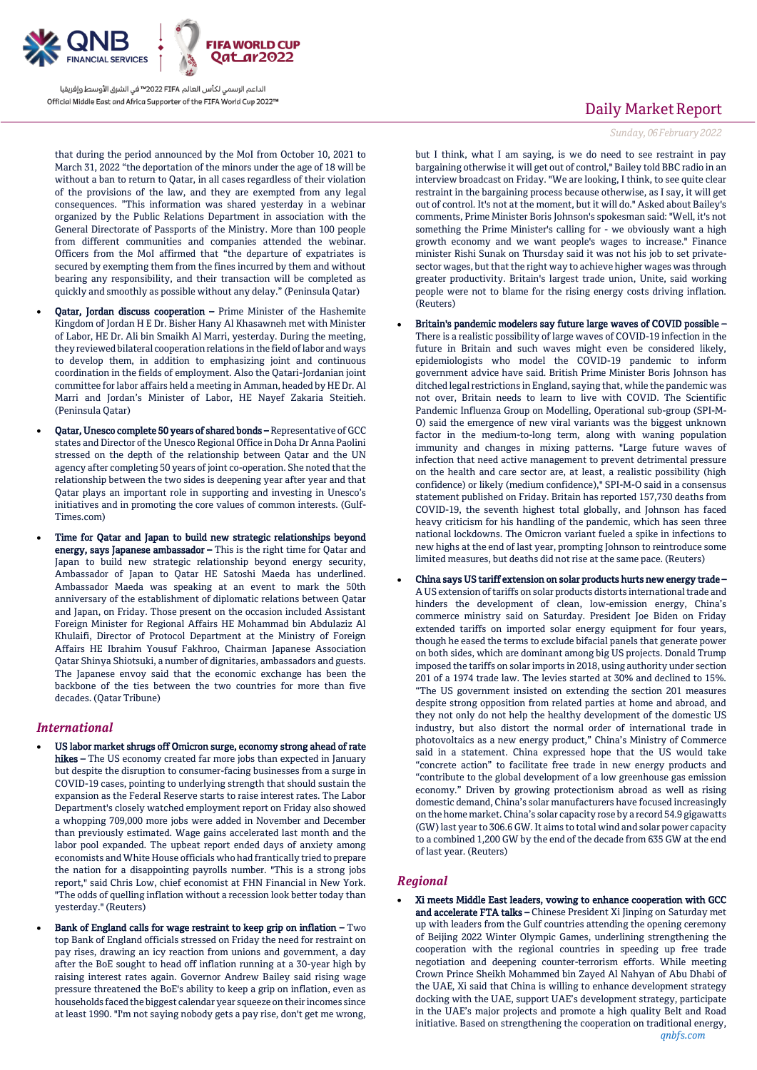

that during the period announced by the MoI from October 10, 2021 to March 31, 2022 "the deportation of the minors under the age of 18 will be without a ban to return to Qatar, in all cases regardless of their violation of the provisions of the law, and they are exempted from any legal consequences. "This information was shared yesterday in a webinar organized by the Public Relations Department in association with the General Directorate of Passports of the Ministry. More than 100 people from different communities and companies attended the webinar. Officers from the MoI affirmed that "the departure of expatriates is secured by exempting them from the fines incurred by them and without bearing any responsibility, and their transaction will be completed as quickly and smoothly as possible without any delay." (Peninsula Qatar)

- Qatar, Jordan discuss cooperation Prime Minister of the Hashemite Kingdom of Jordan H E Dr. Bisher Hany Al Khasawneh met with Minister of Labor, HE Dr. Ali bin Smaikh Al Marri, yesterday. During the meeting, they reviewed bilateral cooperation relations in the field of labor and ways to develop them, in addition to emphasizing joint and continuous coordination in the fields of employment. Also the Qatari-Jordanian joint committee for labor affairs held a meeting in Amman, headed by HE Dr. Al Marri and Jordan's Minister of Labor, HE Nayef Zakaria Steitieh. (Peninsula Qatar)
- Qatar, Unesco complete 50 years of shared bonds Representative of GCC states and Director of the Unesco Regional Office in Doha Dr Anna Paolini stressed on the depth of the relationship between Qatar and the UN agency after completing 50 years of joint co-operation. She noted that the relationship between the two sides is deepening year after year and that Qatar plays an important role in supporting and investing in Unesco's initiatives and in promoting the core values of common interests. (Gulf-Times.com)
- Time for Qatar and Japan to build new strategic relationships beyond energy, says Japanese ambassador – This is the right time for Qatar and Japan to build new strategic relationship beyond energy security, Ambassador of Japan to Qatar HE Satoshi Maeda has underlined. Ambassador Maeda was speaking at an event to mark the 50th anniversary of the establishment of diplomatic relations between Qatar and Japan, on Friday. Those present on the occasion included Assistant Foreign Minister for Regional Affairs HE Mohammad bin Abdulaziz Al Khulaifi, Director of Protocol Department at the Ministry of Foreign Affairs HE Ibrahim Yousuf Fakhroo, Chairman Japanese Association Qatar Shinya Shiotsuki, a number of dignitaries, ambassadors and guests. The Japanese envoy said that the economic exchange has been the backbone of the ties between the two countries for more than five decades. (Qatar Tribune)

### *International*

- US labor market shrugs off Omicron surge, economy strong ahead of rate hikes – The US economy created far more jobs than expected in January but despite the disruption to consumer-facing businesses from a surge in COVID-19 cases, pointing to underlying strength that should sustain the expansion as the Federal Reserve starts to raise interest rates. The Labor Department's closely watched employment report on Friday also showed a whopping 709,000 more jobs were added in November and December than previously estimated. Wage gains accelerated last month and the labor pool expanded. The upbeat report ended days of anxiety among economists and White House officials who had frantically tried to prepare the nation for a disappointing payrolls number. "This is a strong jobs report," said Chris Low, chief economist at FHN Financial in New York. "The odds of quelling inflation without a recession look better today than yesterday." (Reuters)
- Bank of England calls for wage restraint to keep grip on inflation  $Two$ top Bank of England officials stressed on Friday the need for restraint on pay rises, drawing an icy reaction from unions and government, a day after the BoE sought to head off inflation running at a 30-year high by raising interest rates again. Governor Andrew Bailey said rising wage pressure threatened the BoE's ability to keep a grip on inflation, even as households faced the biggest calendar year squeeze on their incomes since at least 1990. "I'm not saying nobody gets a pay rise, don't get me wrong,

## Daily Market Report

*Sunday, 06February2022*

but I think, what I am saying, is we do need to see restraint in pay bargaining otherwise it will get out of control," Bailey told BBC radio in an interview broadcast on Friday. "We are looking, I think, to see quite clear restraint in the bargaining process because otherwise, as I say, it will get out of control. It's not at the moment, but it will do." Asked about Bailey's comments, Prime Minister Boris Johnson's spokesman said: "Well, it's not something the Prime Minister's calling for - we obviously want a high growth economy and we want people's wages to increase." Finance minister Rishi Sunak on Thursday said it was not his job to set privatesector wages, but that the right way to achieve higher wages was through greater productivity. Britain's largest trade union, Unite, said working people were not to blame for the rising energy costs driving inflation. (Reuters)

- Britain's pandemic modelers say future large waves of COVID possible There is a realistic possibility of large waves of COVID-19 infection in the future in Britain and such waves might even be considered likely, epidemiologists who model the COVID-19 pandemic to inform government advice have said. British Prime Minister Boris Johnson has ditched legal restrictions in England, saying that, while the pandemic was not over, Britain needs to learn to live with COVID. The Scientific Pandemic Influenza Group on Modelling, Operational sub-group (SPI-M-O) said the emergence of new viral variants was the biggest unknown factor in the medium-to-long term, along with waning population immunity and changes in mixing patterns. "Large future waves of infection that need active management to prevent detrimental pressure on the health and care sector are, at least, a realistic possibility (high confidence) or likely (medium confidence)," SPI-M-O said in a consensus statement published on Friday. Britain has reported 157,730 deaths from COVID-19, the seventh highest total globally, and Johnson has faced heavy criticism for his handling of the pandemic, which has seen three national lockdowns. The Omicron variant fueled a spike in infections to new highs at the end of last year, prompting Johnson to reintroduce some limited measures, but deaths did not rise at the same pace. (Reuters)
- China says US tariff extension on solar products hurts new energy trade A US extension of tariffs on solar products distorts international trade and hinders the development of clean, low-emission energy, China's commerce ministry said on Saturday. President Joe Biden on Friday extended tariffs on imported solar energy equipment for four years, though he eased the terms to exclude bifacial panels that generate power on both sides, which are dominant among big US projects. Donald Trump imposed the tariffs on solar imports in 2018, using authority under section 201 of a 1974 trade law. The levies started at 30% and declined to 15%. "The US government insisted on extending the section 201 measures despite strong opposition from related parties at home and abroad, and they not only do not help the healthy development of the domestic US industry, but also distort the normal order of international trade in photovoltaics as a new energy product," China's Ministry of Commerce said in a statement. China expressed hope that the US would take "concrete action" to facilitate free trade in new energy products and "contribute to the global development of a low greenhouse gas emission economy." Driven by growing protectionism abroad as well as rising domestic demand, China's solar manufacturers have focused increasingly on the home market. China's solar capacity rose by a record 54.9 gigawatts (GW) last year to 306.6 GW. It aims to total wind and solar power capacity to a combined 1,200 GW by the end of the decade from 635 GW at the end of last year. (Reuters)

### *Regional*

 Xi meets Middle East leaders, vowing to enhance cooperation with GCC and accelerate FTA talks – Chinese President Xi Jinping on Saturday met up with leaders from the Gulf countries attending the opening ceremony of Beijing 2022 Winter Olympic Games, underlining strengthening the cooperation with the regional countries in speeding up free trade negotiation and deepening counter-terrorism efforts. While meeting Crown Prince Sheikh Mohammed bin Zayed Al Nahyan of Abu Dhabi of the UAE, Xi said that China is willing to enhance development strategy docking with the UAE, support UAE's development strategy, participate in the UAE's major projects and promote a high quality Belt and Road initiative. Based on strengthening the cooperation on traditional energy,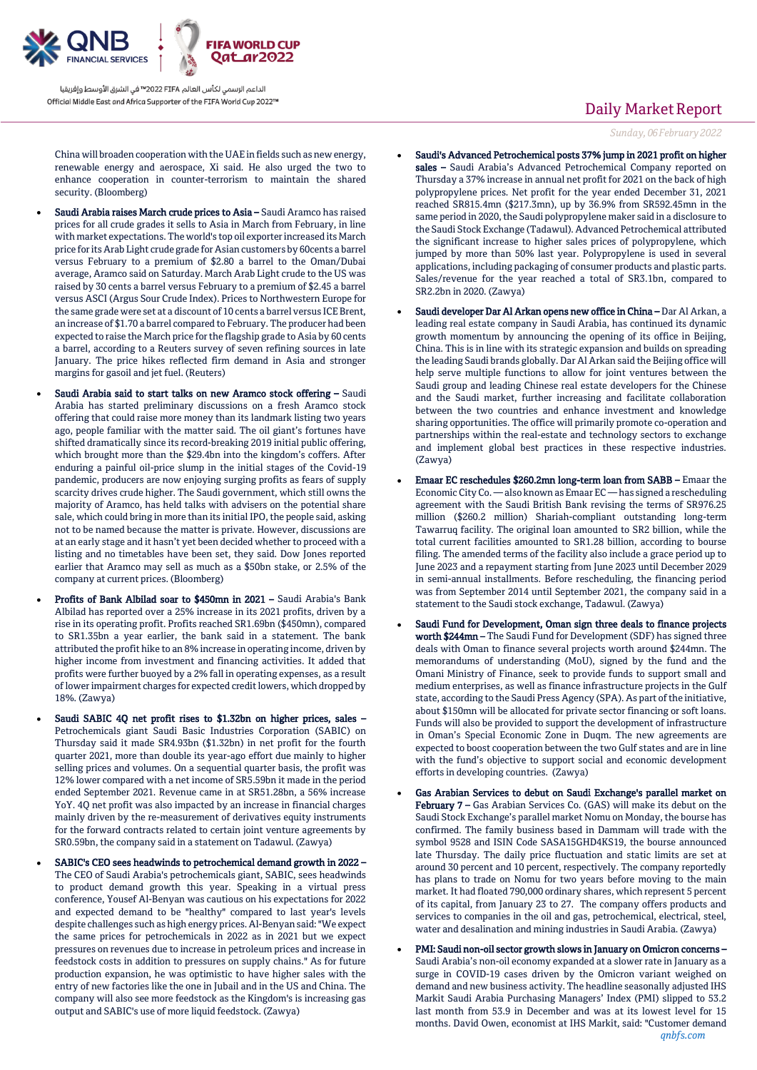

#### China will broaden cooperation with the UAE in fields such as new energy, renewable energy and aerospace, Xi said. He also urged the two to enhance cooperation in counter-terrorism to maintain the shared security. (Bloomberg)

- Saudi Arabia raises March crude prices to Asia Saudi Aramco has raised prices for all crude grades it sells to Asia in March from February, in line with market expectations. The world's top oil exporter increased its March price for its Arab Light crude grade for Asian customers by 60cents a barrel versus February to a premium of \$2.80 a barrel to the Oman/Dubai average, Aramco said on Saturday. March Arab Light crude to the US was raised by 30 cents a barrel versus February to a premium of \$2.45 a barrel versus ASCI (Argus Sour Crude Index). Prices to Northwestern Europe for the same grade were set at a discount of 10 cents a barrel versus ICE Brent, an increase of \$1.70 a barrel compared to February. The producer had been expected to raise the March price for the flagship grade to Asia by 60 cents a barrel, according to a Reuters survey of seven refining sources in late January. The price hikes reflected firm demand in Asia and stronger margins for gasoil and jet fuel. (Reuters)
- Saudi Arabia said to start talks on new Aramco stock offering Saudi Arabia has started preliminary discussions on a fresh Aramco stock offering that could raise more money than its landmark listing two years ago, people familiar with the matter said. The oil giant's fortunes have shifted dramatically since its record-breaking 2019 initial public offering, which brought more than the \$29.4bn into the kingdom's coffers. After enduring a painful oil-price slump in the initial stages of the Covid-19 pandemic, producers are now enjoying surging profits as fears of supply scarcity drives crude higher. The Saudi government, which still owns the majority of Aramco, has held talks with advisers on the potential share sale, which could bring in more than its initial IPO, the people said, asking not to be named because the matter is private. However, discussions are at an early stage and it hasn't yet been decided whether to proceed with a listing and no timetables have been set, they said. Dow Jones reported earlier that Aramco may sell as much as a \$50bn stake, or 2.5% of the company at current prices. (Bloomberg)
- Profits of Bank Albilad soar to \$450mn in 2021 Saudi Arabia's Bank Albilad has reported over a 25% increase in its 2021 profits, driven by a rise in its operating profit. Profits reached SR1.69bn (\$450mn), compared to SR1.35bn a year earlier, the bank said in a statement. The bank attributed the profit hike to an 8% increase in operating income, driven by higher income from investment and financing activities. It added that profits were further buoyed by a 2% fall in operating expenses, as a result of lower impairment charges for expected credit lowers, which dropped by 18%. (Zawya)
- Saudi SABIC 4Q net profit rises to \$1.32bn on higher prices, sales Petrochemicals giant Saudi Basic Industries Corporation (SABIC) on Thursday said it made SR4.93bn (\$1.32bn) in net profit for the fourth quarter 2021, more than double its year-ago effort due mainly to higher selling prices and volumes. On a sequential quarter basis, the profit was 12% lower compared with a net income of SR5.59bn it made in the period ended September 2021. Revenue came in at SR51.28bn, a 56% increase YoY. 4Q net profit was also impacted by an increase in financial charges mainly driven by the re-measurement of derivatives equity instruments for the forward contracts related to certain joint venture agreements by SR0.59bn, the company said in a statement on Tadawul. (Zawya)
- SABIC's CEO sees headwinds to petrochemical demand growth in 2022 The CEO of Saudi Arabia's petrochemicals giant, SABIC, sees headwinds to product demand growth this year. Speaking in a virtual press conference, Yousef Al-Benyan was cautious on his expectations for 2022 and expected demand to be "healthy" compared to last year's levels despite challenges such as high energy prices. Al-Benyan said: "We expect the same prices for petrochemicals in 2022 as in 2021 but we expect pressures on revenues due to increase in petroleum prices and increase in feedstock costs in addition to pressures on supply chains." As for future production expansion, he was optimistic to have higher sales with the entry of new factories like the one in Jubail and in the US and China. The company will also see more feedstock as the Kingdom's is increasing gas output and SABIC's use of more liquid feedstock. (Zawya)

# Daily Market Report

*Sunday, 06February2022*

- Saudi's Advanced Petrochemical posts 37% jump in 2021 profit on higher sales - Saudi Arabia's Advanced Petrochemical Company reported on Thursday a 37% increase in annual net profit for 2021 on the back of high polypropylene prices. Net profit for the year ended December 31, 2021 reached SR815.4mn (\$217.3mn), up by 36.9% from SR592.45mn in the same period in 2020, the Saudi polypropylene maker said in a disclosure to the Saudi Stock Exchange (Tadawul). Advanced Petrochemical attributed the significant increase to higher sales prices of polypropylene, which jumped by more than 50% last year. Polypropylene is used in several applications, including packaging of consumer products and plastic parts. Sales/revenue for the year reached a total of SR3.1bn, compared to SR2.2bn in 2020. (Zawya)
- Saudi developer Dar Al Arkan opens new office in China Dar Al Arkan, a leading real estate company in Saudi Arabia, has continued its dynamic growth momentum by announcing the opening of its office in Beijing, China. This is in line with its strategic expansion and builds on spreading the leading Saudi brands globally. Dar Al Arkan said the Beijing office will help serve multiple functions to allow for joint ventures between the Saudi group and leading Chinese real estate developers for the Chinese and the Saudi market, further increasing and facilitate collaboration between the two countries and enhance investment and knowledge sharing opportunities. The office will primarily promote co-operation and partnerships within the real-estate and technology sectors to exchange and implement global best practices in these respective industries. (Zawya)
- Emaar EC reschedules \$260.2mn long-term loan from SABB Emaar the Economic City Co. - also known as Emaar EC - has signed a rescheduling agreement with the Saudi British Bank revising the terms of SR976.25 million (\$260.2 million) Shariah-compliant outstanding long-term Tawarruq facility. The original loan amounted to SR2 billion, while the total current facilities amounted to SR1.28 billion, according to bourse filing. The amended terms of the facility also include a grace period up to June 2023 and a repayment starting from June 2023 until December 2029 in semi-annual installments. Before rescheduling, the financing period was from September 2014 until September 2021, the company said in a statement to the Saudi stock exchange, Tadawul. (Zawya)
- Saudi Fund for Development, Oman sign three deals to finance projects worth \$244mn – The Saudi Fund for Development (SDF) has signed three deals with Oman to finance several projects worth around \$244mn. The memorandums of understanding (MoU), signed by the fund and the Omani Ministry of Finance, seek to provide funds to support small and medium enterprises, as well as finance infrastructure projects in the Gulf state, according to the Saudi Press Agency (SPA). As part of the initiative, about \$150mn will be allocated for private sector financing or soft loans. Funds will also be provided to support the development of infrastructure in Oman's Special Economic Zone in Duqm. The new agreements are expected to boost cooperation between the two Gulf states and are in line with the fund's objective to support social and economic development efforts in developing countries. (Zawya)
- Gas Arabian Services to debut on Saudi Exchange's parallel market on February 7 – Gas Arabian Services Co. (GAS) will make its debut on the Saudi Stock Exchange's parallel market Nomu on Monday, the bourse has confirmed. The family business based in Dammam will trade with the symbol 9528 and ISIN Code SASA15GHD4KS19, the bourse announced late Thursday. The daily price fluctuation and static limits are set at around 30 percent and 10 percent, respectively. The company reportedly has plans to trade on Nomu for two years before moving to the main market. It had floated 790,000 ordinary shares, which represent 5 percent of its capital, from January 23 to 27. The company offers products and services to companies in the oil and gas, petrochemical, electrical, steel, water and desalination and mining industries in Saudi Arabia. (Zawya)
- *qnbfs.com* PMI: Saudi non-oil sector growth slows in January on Omicron concerns – Saudi Arabia's non-oil economy expanded at a slower rate in January as a surge in COVID-19 cases driven by the Omicron variant weighed on demand and new business activity. The headline seasonally adjusted IHS Markit Saudi Arabia Purchasing Managers' Index (PMI) slipped to 53.2 last month from 53.9 in December and was at its lowest level for 15 months. David Owen, economist at IHS Markit, said: "Customer demand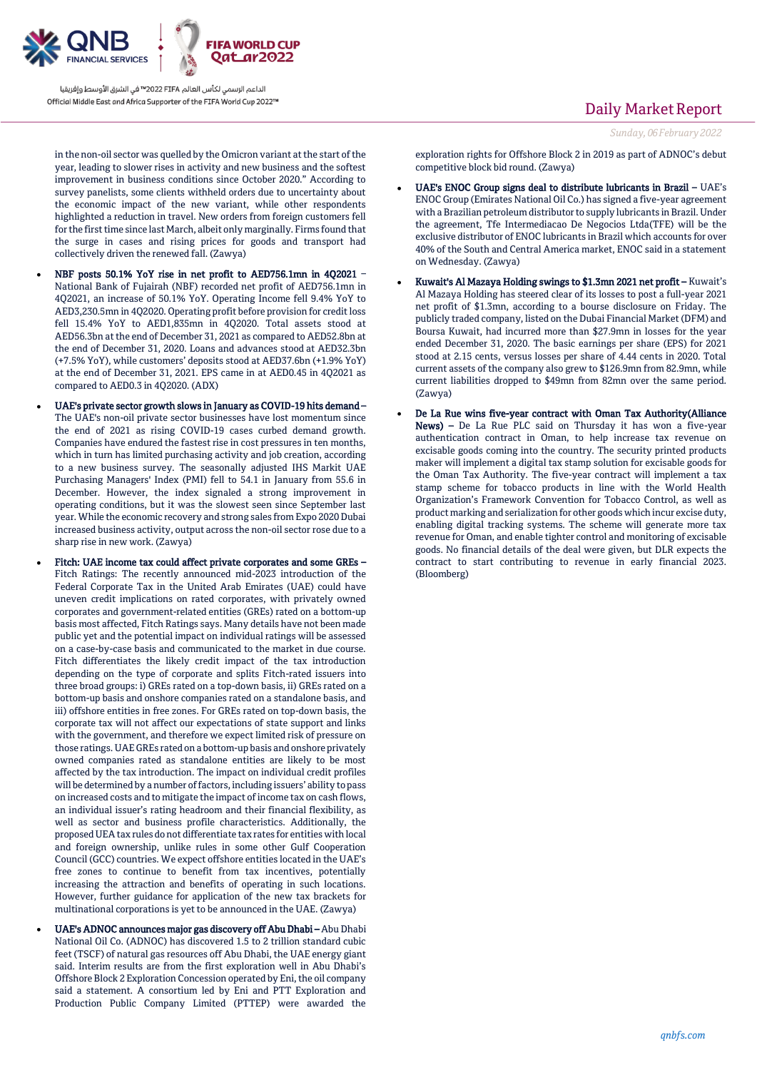

in the non-oil sector was quelled by the Omicron variant at the start of the year, leading to slower rises in activity and new business and the softest improvement in business conditions since October 2020." According to survey panelists, some clients withheld orders due to uncertainty about the economic impact of the new variant, while other respondents highlighted a reduction in travel. New orders from foreign customers fell for the first time since last March, albeit only marginally. Firms found that the surge in cases and rising prices for goods and transport had collectively driven the renewed fall. (Zawya)

- NBF posts 50.1% YoY rise in net profit to AED756.1mn in 4Q2021 National Bank of Fujairah (NBF) recorded net profit of AED756.1mn in 4Q2021, an increase of 50.1% YoY. Operating Income fell 9.4% YoY to AED3,230.5mn in 4Q2020. Operating profit before provision for credit loss fell 15.4% YoY to AED1,835mn in 4Q2020. Total assets stood at AED56.3bn at the end of December 31, 2021 as compared to AED52.8bn at the end of December 31, 2020. Loans and advances stood at AED32.3bn (+7.5% YoY), while customers' deposits stood at AED37.6bn (+1.9% YoY) at the end of December 31, 2021. EPS came in at AED0.45 in 4Q2021 as compared to AED0.3 in 4Q2020. (ADX)
- UAE's private sector growth slows in January as COVID-19 hits demand The UAE's non-oil private sector businesses have lost momentum since the end of 2021 as rising COVID-19 cases curbed demand growth. Companies have endured the fastest rise in cost pressures in ten months, which in turn has limited purchasing activity and job creation, according to a new business survey. The seasonally adjusted IHS Markit UAE Purchasing Managers' Index (PMI) fell to 54.1 in January from 55.6 in December. However, the index signaled a strong improvement in operating conditions, but it was the slowest seen since September last year. While the economic recovery and strong sales from Expo 2020 Dubai increased business activity, output across the non-oil sector rose due to a sharp rise in new work. (Zawya)
- Fitch: UAE income tax could affect private corporates and some GREs Fitch Ratings: The recently announced mid-2023 introduction of the Federal Corporate Tax in the United Arab Emirates (UAE) could have uneven credit implications on rated corporates, with privately owned corporates and government-related entities (GREs) rated on a bottom-up basis most affected, Fitch Ratings says. Many details have not been made public yet and the potential impact on individual ratings will be assessed on a case-by-case basis and communicated to the market in due course. Fitch differentiates the likely credit impact of the tax introduction depending on the type of corporate and splits Fitch-rated issuers into three broad groups: i) GREs rated on a top-down basis, ii) GREs rated on a bottom-up basis and onshore companies rated on a standalone basis, and iii) offshore entities in free zones. For GREs rated on top-down basis, the corporate tax will not affect our expectations of state support and links with the government, and therefore we expect limited risk of pressure on those ratings. UAE GREs rated on a bottom-up basis and onshore privately owned companies rated as standalone entities are likely to be most affected by the tax introduction. The impact on individual credit profiles will be determined by a number of factors, including issuers' ability to pass on increased costs and to mitigate the impact of income tax on cash flows, an individual issuer's rating headroom and their financial flexibility, as well as sector and business profile characteristics. Additionally, the proposed UEA tax rules do not differentiate tax rates for entities with local and foreign ownership, unlike rules in some other Gulf Cooperation Council (GCC) countries. We expect offshore entities located in the UAE's free zones to continue to benefit from tax incentives, potentially increasing the attraction and benefits of operating in such locations. However, further guidance for application of the new tax brackets for multinational corporations is yet to be announced in the UAE. (Zawya)
- UAE's ADNOC announces major gas discovery off Abu Dhabi Abu Dhabi National Oil Co. (ADNOC) has discovered 1.5 to 2 trillion standard cubic feet (TSCF) of natural gas resources off Abu Dhabi, the UAE energy giant said. Interim results are from the first exploration well in Abu Dhabi's Offshore Block 2 Exploration Concession operated by Eni, the oil company said a statement. A consortium led by Eni and PTT Exploration and Production Public Company Limited (PTTEP) were awarded the

## Daily Market Report

```
Sunday, 06February2022
```
exploration rights for Offshore Block 2 in 2019 as part of ADNOC's debut competitive block bid round. (Zawya)

- UAE's ENOC Group signs deal to distribute lubricants in Brazil UAE's ENOC Group (Emirates National Oil Co.) has signed a five-year agreement with a Brazilian petroleum distributor to supply lubricants in Brazil. Under the agreement, Tfe Intermediacao De Negocios Ltda(TFE) will be the exclusive distributor of ENOC lubricants in Brazil which accounts for over 40% of the South and Central America market, ENOC said in a statement on Wednesday. (Zawya)
- Kuwait's Al Mazaya Holding swings to \$1.3mn 2021 net profit Kuwait's Al Mazaya Holding has steered clear of its losses to post a full-year 2021 net profit of \$1.3mn, according to a bourse disclosure on Friday. The publicly traded company, listed on the Dubai Financial Market (DFM) and Boursa Kuwait, had incurred more than \$27.9mn in losses for the year ended December 31, 2020. The basic earnings per share (EPS) for 2021 stood at 2.15 cents, versus losses per share of 4.44 cents in 2020. Total current assets of the company also grew to \$126.9mn from 82.9mn, while current liabilities dropped to \$49mn from 82mn over the same period. (Zawya)
- De La Rue wins five-year contract with Oman Tax Authority(Alliance News) – De La Rue PLC said on Thursday it has won a five-year authentication contract in Oman, to help increase tax revenue on excisable goods coming into the country. The security printed products maker will implement a digital tax stamp solution for excisable goods for the Oman Tax Authority. The five-year contract will implement a tax stamp scheme for tobacco products in line with the World Health Organization's Framework Convention for Tobacco Control, as well as product marking and serialization for other goods which incur excise duty, enabling digital tracking systems. The scheme will generate more tax revenue for Oman, and enable tighter control and monitoring of excisable goods. No financial details of the deal were given, but DLR expects the contract to start contributing to revenue in early financial 2023. (Bloomberg)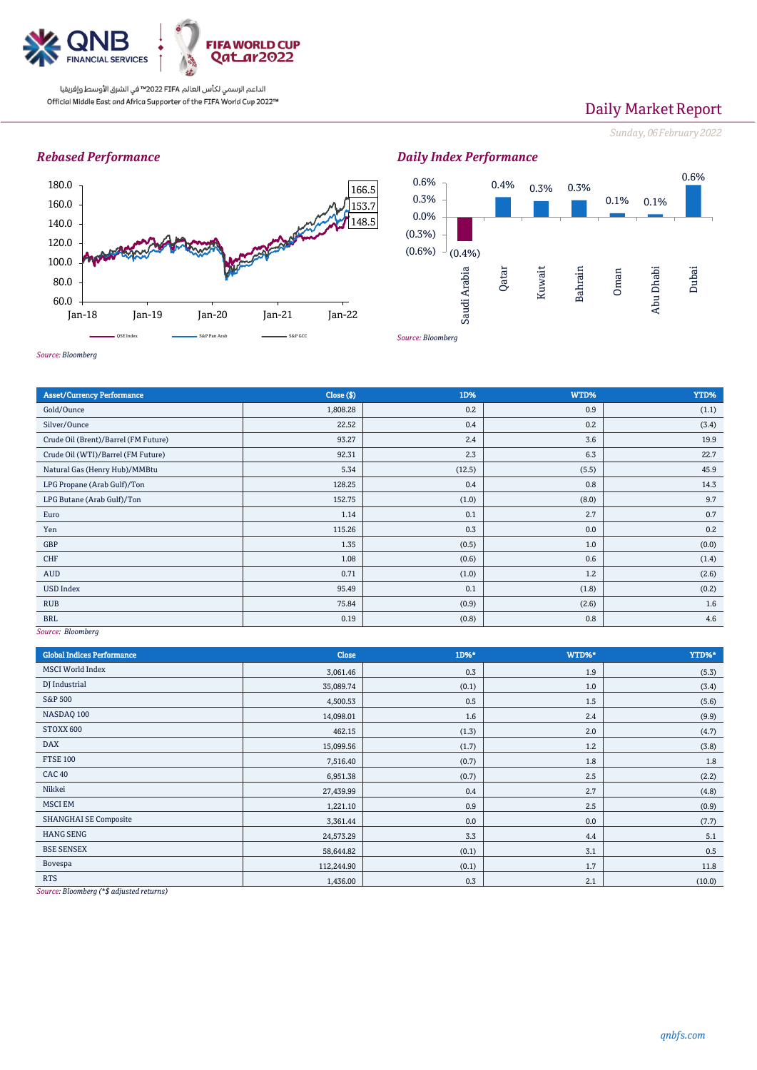

# Daily Market Report

*Sunday, 06February2022*

### *Rebased Performance*



(0.4%) 0.4% 0.3% 0.3% 0.1% 0.1% 0.6% (0.6%) (0.3%) 0.0% 0.3% 0.6% Saudi Arabia Qatar Kuwait Bahrain Oman Abu Dhabi Dubai

*Daily Index Performance*

*Source: Bloomberg*

*Source: Bloomberg*

| <b>Asset/Currency Performance</b>                        | Close ( \$) | 1D%    | WTD%  | YTD%  |
|----------------------------------------------------------|-------------|--------|-------|-------|
| Gold/Ounce                                               | 1,808.28    | 0.2    | 0.9   | (1.1) |
| Silver/Ounce                                             | 22.52       | 0.4    | 0.2   | (3.4) |
| Crude Oil (Brent)/Barrel (FM Future)                     | 93.27       | 2.4    | 3.6   | 19.9  |
| Crude Oil (WTI)/Barrel (FM Future)                       | 92.31       | 2.3    | 6.3   | 22.7  |
| Natural Gas (Henry Hub)/MMBtu                            | 5.34        | (12.5) | (5.5) | 45.9  |
| LPG Propane (Arab Gulf)/Ton                              | 128.25      | 0.4    | 0.8   | 14.3  |
| LPG Butane (Arab Gulf)/Ton                               | 152.75      | (1.0)  | (8.0) | 9.7   |
| Euro                                                     | 1.14        | 0.1    | 2.7   | 0.7   |
| Yen                                                      | 115.26      | 0.3    | 0.0   | 0.2   |
| GBP                                                      | 1.35        | (0.5)  | 1.0   | (0.0) |
| <b>CHF</b>                                               | 1.08        | (0.6)  | 0.6   | (1.4) |
| AUD                                                      | 0.71        | (1.0)  | 1.2   | (2.6) |
| <b>USD Index</b>                                         | 95.49       | 0.1    | (1.8) | (0.2) |
| <b>RUB</b>                                               | 75.84       | (0.9)  | (2.6) | 1.6   |
| <b>BRL</b><br>$C_{\text{untrain}}$ $Dl_{\text{untrain}}$ | 0.19        | (0.8)  | 0.8   | 4.6   |

*Source: Bloomberg*

| <b>Global Indices Performance</b>                                                                           | Close      | 1D%*  | WTD%* | YTD%*  |
|-------------------------------------------------------------------------------------------------------------|------------|-------|-------|--------|
| <b>MSCI World Index</b>                                                                                     | 3,061.46   | 0.3   | 1.9   | (5.3)  |
| DJ Industrial                                                                                               | 35,089.74  | (0.1) | 1.0   | (3.4)  |
| <b>S&amp;P 500</b>                                                                                          | 4,500.53   | 0.5   | 1.5   | (5.6)  |
| NASDAQ 100                                                                                                  | 14,098.01  | 1.6   | 2.4   | (9.9)  |
| STOXX 600                                                                                                   | 462.15     | (1.3) | 2.0   | (4.7)  |
| <b>DAX</b>                                                                                                  | 15,099.56  | (1.7) | 1.2   | (3.8)  |
| <b>FTSE 100</b>                                                                                             | 7,516.40   | (0.7) | 1.8   | 1.8    |
| <b>CAC 40</b>                                                                                               | 6,951.38   | (0.7) | 2.5   | (2.2)  |
| Nikkei                                                                                                      | 27,439.99  | 0.4   | 2.7   | (4.8)  |
| <b>MSCI EM</b>                                                                                              | 1,221.10   | 0.9   | 2.5   | (0.9)  |
| <b>SHANGHAI SE Composite</b>                                                                                | 3,361.44   | 0.0   | 0.0   | (7.7)  |
| <b>HANG SENG</b>                                                                                            | 24,573.29  | 3.3   | 4.4   | 5.1    |
| <b>BSE SENSEX</b>                                                                                           | 58,644.82  | (0.1) | 3.1   | 0.5    |
| Bovespa                                                                                                     | 112,244.90 | (0.1) | 1.7   | 11.8   |
| <b>RTS</b><br>$\mathbf{r}$ , and $\mathbf{r}$ , $\mathbf{r}$ , $\mathbf{r}$ , $\mathbf{r}$<br>$\sim$ $\sim$ | 1,436.00   | 0.3   | 2.1   | (10.0) |

*Source: Bloomberg (\*\$ adjusted returns)*